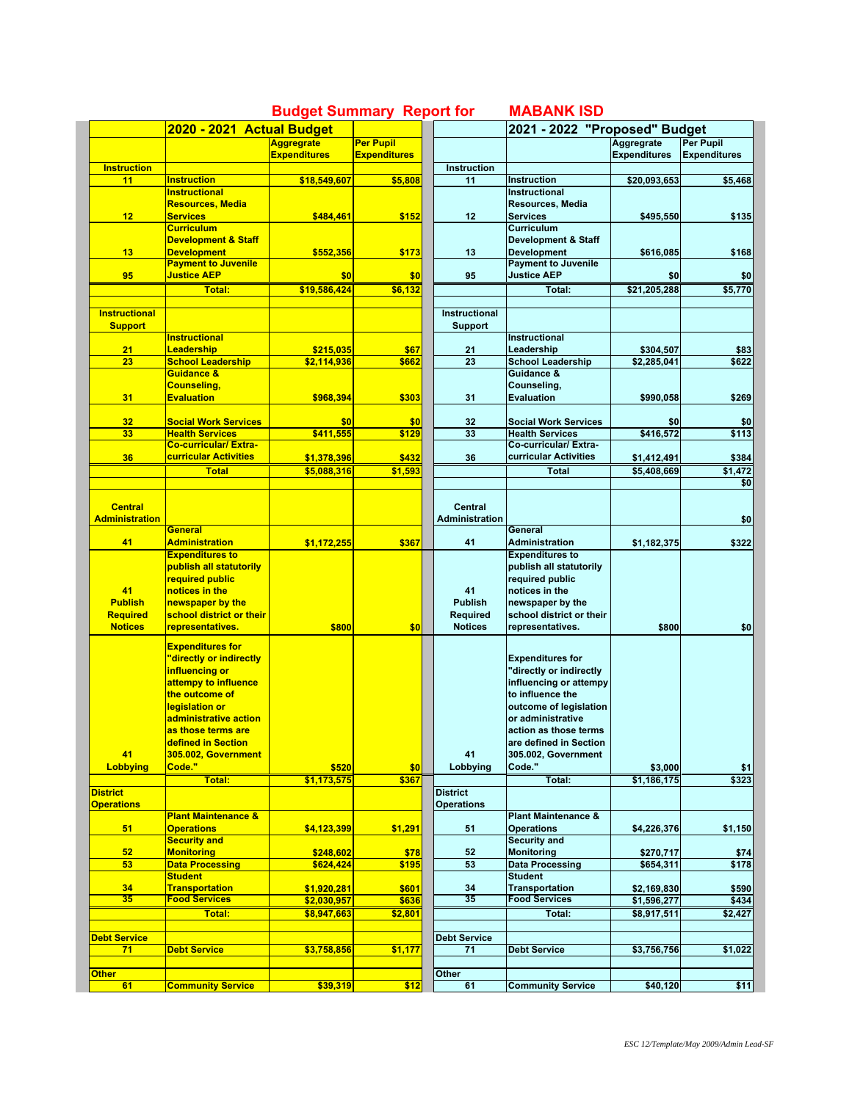|                          |                                         |                                          |                                         |  |                          | 2021 - 2022 "Proposed" Budget               |                                   |                                         |  |
|--------------------------|-----------------------------------------|------------------------------------------|-----------------------------------------|--|--------------------------|---------------------------------------------|-----------------------------------|-----------------------------------------|--|
|                          | 2020 - 2021 Actual Budget               |                                          |                                         |  |                          |                                             |                                   |                                         |  |
|                          |                                         | <b>Aggregrate</b><br><b>Expenditures</b> | <b>Per Pupil</b><br><b>Expenditures</b> |  |                          |                                             | Aggregrate<br><b>Expenditures</b> | <b>Per Pupil</b><br><b>Expenditures</b> |  |
|                          |                                         |                                          |                                         |  |                          |                                             |                                   |                                         |  |
| <b>Instruction</b><br>11 | <b>Instruction</b>                      | \$18,549,607                             | \$5,808                                 |  | <b>Instruction</b><br>11 | <b>Instruction</b>                          | \$20,093,653                      | \$5,468                                 |  |
|                          | <b>Instructional</b>                    |                                          |                                         |  |                          | <b>Instructional</b>                        |                                   |                                         |  |
|                          | <b>Resources, Media</b>                 |                                          |                                         |  |                          | Resources, Media                            |                                   |                                         |  |
| 12                       | <b>Services</b>                         | \$484.461                                | \$152                                   |  | 12                       | <b>Services</b>                             | \$495,550                         | \$135                                   |  |
|                          | <b>Curriculum</b>                       |                                          |                                         |  |                          | Curriculum                                  |                                   |                                         |  |
|                          | <b>Development &amp; Staff</b>          |                                          |                                         |  |                          | <b>Development &amp; Staff</b>              |                                   |                                         |  |
| 13                       | <b>Development</b>                      | \$552,356                                | \$173                                   |  | 13                       | <b>Development</b>                          | \$616,085                         | \$168                                   |  |
|                          | <b>Payment to Juvenile</b>              |                                          |                                         |  |                          | <b>Payment to Juvenile</b>                  |                                   |                                         |  |
| 95                       | <b>Justice AEP</b>                      | \$0                                      | \$0                                     |  | 95                       | <b>Justice AEP</b>                          | \$0                               | \$0                                     |  |
|                          | <b>Total:</b>                           | \$19,586,424                             | \$6.132                                 |  |                          | Total:                                      | \$21,205,288                      | \$5,770                                 |  |
|                          |                                         |                                          |                                         |  |                          |                                             |                                   |                                         |  |
| <b>Instructional</b>     |                                         |                                          |                                         |  | Instructional            |                                             |                                   |                                         |  |
| <b>Support</b>           |                                         |                                          |                                         |  | <b>Support</b>           |                                             |                                   |                                         |  |
|                          | <b>Instructional</b>                    |                                          |                                         |  |                          | Instructional                               |                                   |                                         |  |
| 21                       | Leadership                              | \$215,035                                | \$67                                    |  | 21                       | Leadership                                  | \$304,507                         | \$83                                    |  |
| 23                       | <b>School Leadership</b>                | \$2,114,936                              | \$662                                   |  | 23                       | <b>School Leadership</b>                    | \$2,285,041                       | \$622                                   |  |
|                          | Guidance &                              |                                          |                                         |  |                          | Guidance &                                  |                                   |                                         |  |
| 31                       | <b>Counseling,</b><br><b>Evaluation</b> | \$968.394                                | \$303                                   |  | 31                       | Counseling,<br><b>Evaluation</b>            | \$990,058                         | \$269                                   |  |
|                          |                                         |                                          |                                         |  |                          |                                             |                                   |                                         |  |
| 32                       | <b>Social Work Services</b>             | \$0                                      | \$0                                     |  | 32                       | <b>Social Work Services</b>                 | \$0                               | \$0                                     |  |
| 33                       | <b>Health Services</b>                  | \$411,555                                | \$129                                   |  | 33                       | <b>Health Services</b>                      | \$416,572                         | \$113                                   |  |
|                          | <b>Co-curricular/Extra-</b>             |                                          |                                         |  |                          | Co-curricular/ Extra-                       |                                   |                                         |  |
| 36                       | curricular Activities                   | \$1,378,396                              | \$432                                   |  | 36                       | curricular Activities                       | \$1,412,491                       | \$384                                   |  |
|                          | <b>Total</b>                            | \$5,088,316                              | \$1,593                                 |  |                          | <b>Total</b>                                | \$5,408,669                       | \$1,472                                 |  |
|                          |                                         |                                          |                                         |  |                          |                                             |                                   | \$0                                     |  |
|                          |                                         |                                          |                                         |  |                          |                                             |                                   |                                         |  |
| <b>Central</b>           |                                         |                                          |                                         |  | <b>Central</b>           |                                             |                                   |                                         |  |
| <b>Administration</b>    |                                         |                                          |                                         |  | <b>Administration</b>    |                                             |                                   | \$0                                     |  |
|                          | <b>General</b>                          |                                          |                                         |  |                          | General                                     |                                   |                                         |  |
| 41                       | <b>Administration</b>                   | \$1,172,255                              | \$367                                   |  | 41                       | Administration                              | \$1,182,375                       | \$322                                   |  |
|                          | <b>Expenditures to</b>                  |                                          |                                         |  |                          | <b>Expenditures to</b>                      |                                   |                                         |  |
|                          | publish all statutorily                 |                                          |                                         |  |                          | publish all statutorily                     |                                   |                                         |  |
|                          | required public                         |                                          |                                         |  |                          | required public                             |                                   |                                         |  |
| 41                       | notices in the                          |                                          |                                         |  | 41                       | notices in the                              |                                   |                                         |  |
| <b>Publish</b>           | newspaper by the                        |                                          |                                         |  | <b>Publish</b>           | newspaper by the                            |                                   |                                         |  |
| <b>Required</b>          | school district or their                |                                          |                                         |  | Required                 | school district or their                    |                                   |                                         |  |
| <b>Notices</b>           | representatives.                        | \$800                                    | \$0                                     |  | <b>Notices</b>           | representatives.                            | \$800                             | \$0                                     |  |
|                          | <b>Expenditures for</b>                 |                                          |                                         |  |                          |                                             |                                   |                                         |  |
|                          | 'directly or indirectly                 |                                          |                                         |  |                          | <b>Expenditures for</b>                     |                                   |                                         |  |
|                          | influencing or                          |                                          |                                         |  |                          | "directly or indirectly                     |                                   |                                         |  |
|                          | attempy to influence                    |                                          |                                         |  |                          | influencing or attempy                      |                                   |                                         |  |
|                          | the outcome of                          |                                          |                                         |  |                          | to influence the                            |                                   |                                         |  |
|                          | legislation or                          |                                          |                                         |  |                          | outcome of legislation                      |                                   |                                         |  |
|                          | administrative action                   |                                          |                                         |  |                          | or administrative                           |                                   |                                         |  |
|                          | as those terms are                      |                                          |                                         |  |                          | action as those terms                       |                                   |                                         |  |
|                          | <u>defined in Section</u>               |                                          |                                         |  |                          | are defined in Section                      |                                   |                                         |  |
| 41                       | 305.002, Government                     |                                          |                                         |  | 41                       | 305.002, Government                         |                                   |                                         |  |
| <b>Lobbying</b>          | Code."                                  | \$520                                    | \$0                                     |  | Lobbying                 | Code."                                      | \$3,000                           | \$1                                     |  |
|                          | Total:                                  | \$1,173,575                              | \$367                                   |  |                          | Total:                                      | \$1,186,175                       | \$323                                   |  |
| <b>District</b>          |                                         |                                          |                                         |  | <b>District</b>          |                                             |                                   |                                         |  |
| <b>Operations</b>        |                                         |                                          |                                         |  | <b>Operations</b>        |                                             |                                   |                                         |  |
|                          | <b>Plant Maintenance &amp;</b>          |                                          |                                         |  |                          | <b>Plant Maintenance &amp;</b>              |                                   |                                         |  |
| 51                       | <b>Operations</b>                       | \$4,123,399                              | \$1,291                                 |  | 51                       | <b>Operations</b><br>Security and           | \$4,226,376                       | \$1,150                                 |  |
|                          | <b>Security and</b>                     |                                          |                                         |  |                          |                                             |                                   |                                         |  |
| 52<br>53                 | <b>Monitoring</b><br>Data Processing    | \$248,602<br>\$624,424                   | \$78<br>\$195                           |  | 52<br>53                 | <b>Monitoring</b><br><b>Data Processing</b> | \$270,717<br>\$654,311            | \$74<br>\$178                           |  |
|                          | <b>Student</b>                          |                                          |                                         |  |                          | <b>Student</b>                              |                                   |                                         |  |
| 34                       | <b>Transportation</b>                   | \$1,920,281                              | \$601                                   |  | 34                       | <b>Transportation</b>                       | \$2,169,830                       | \$590                                   |  |
| 35                       | <b>Food Services</b>                    | \$2,030,957                              | \$636                                   |  | $\overline{35}$          | <b>Food Services</b>                        | \$1,596,277                       | \$434                                   |  |
|                          | Total:                                  | \$8,947,663                              | \$2,801                                 |  |                          | Total:                                      | \$8,917,511                       | \$2,427                                 |  |
|                          |                                         |                                          |                                         |  |                          |                                             |                                   |                                         |  |
| <b>Debt Service</b>      |                                         |                                          |                                         |  | <b>Debt Service</b>      |                                             |                                   |                                         |  |
| 71                       | <b>Debt Service</b>                     | \$3,758,856                              | \$1,177                                 |  | 71                       | <b>Debt Service</b>                         | \$3,756,756                       | \$1,022                                 |  |
|                          |                                         |                                          |                                         |  |                          |                                             |                                   |                                         |  |
| <b>Other</b>             |                                         |                                          |                                         |  | Other                    |                                             |                                   |                                         |  |
| 61                       | <b>Community Service</b>                | \$39,319                                 | \$12                                    |  | 61                       | <b>Community Service</b>                    | \$40,120                          | \$11                                    |  |

## **Budget Summary Report for MABANK ISD**